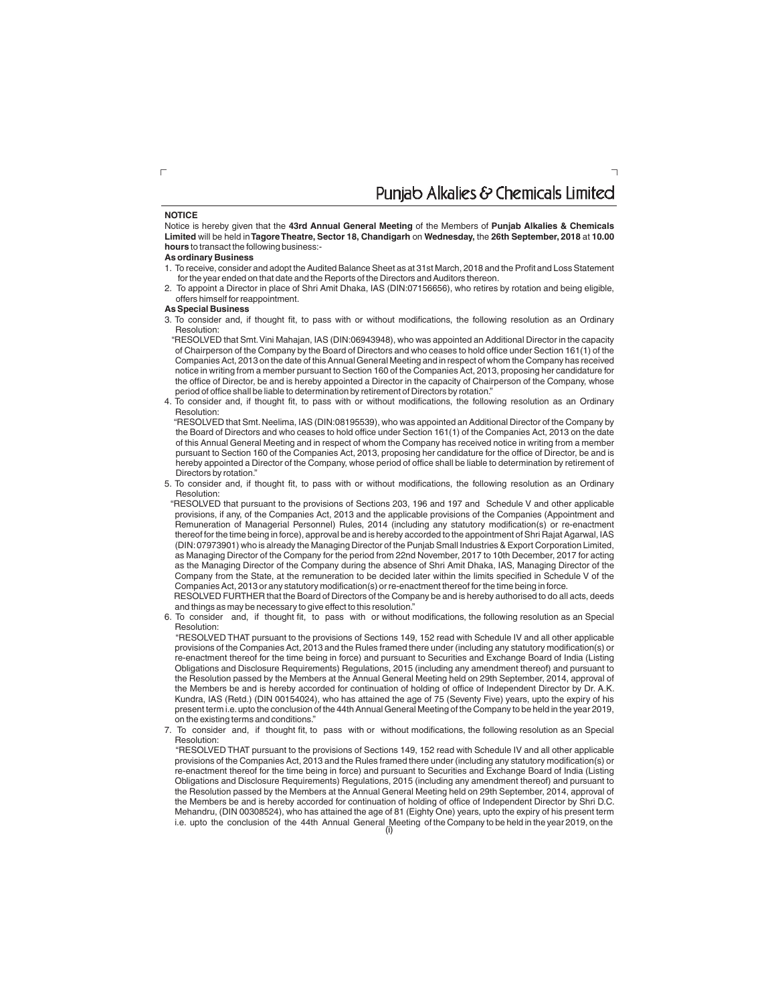### Punjab Alkalies & Chemicals Limited

 $\overline{\phantom{0}}$ 

#### **NOTICE**

Notice is hereby given that the **43rd Annual General Meeting** of the Members of **Punjab Alkalies & Chemicals Limited** will be held in**Tagore Theatre, Sector 18, Chandigarh** on **Wednesday,** the **26th September, 2018** at **10.00 hours** to transact the following business:-

#### **As ordinary Business**

- 1. To receive, consider and adopt the Audited Balance Sheet as at 31st March, 2018 and the Profit and Loss Statement for the year ended on that date and the Reports of the Directors and Auditors thereon.
- 2. To appoint a Director in place of Shri Amit Dhaka, IAS (DIN:07156656), who retires by rotation and being eligible, offers himself for reappointment.

#### **As Special Business**

3. To consider and, if thought fit, to pass with or without modifications, the following resolution as an Ordinary Resolution:

"RESOLVED that Smt.Vini Mahajan, IAS (DIN:06943948), who was appointed an Additional Director in the capacity of Chairperson of the Company by the Board of Directors and who ceases to hold office under Section 161(1) of the Companies Act, 2013 on the date of this Annual General Meeting and in respect of whom the Company has received notice in writing from a member pursuant to Section 160 of the Companies Act, 2013, proposing her candidature for the office of Director, be and is hereby appointed a Director in the capacity of Chairperson of the Company, whose period of office shall be liable to determination by retirement of Directors by rotation."

4. To consider and, if thought fit, to pass with or without modifications, the following resolution as an Ordinary Resolution:

"RESOLVED that Smt.Neelima, IAS (DIN:08195539), who was appointed an Additional Director of the Company by the Board of Directors and who ceases to hold office under Section 161(1) of the Companies Act, 2013 on the date of this Annual General Meeting and in respect of whom the Company has received notice in writing from a member pursuant to Section 160 of the Companies Act, 2013, proposing her candidature for the office of Director, be and is hereby appointed a Director of the Company, whose period of office shall be liable to determination by retirement of Directors by rotation."

5. To consider and, if thought fit, to pass with or without modifications, the following resolution as an Ordinary Resolution:

 "RESOLVED that pursuant to the provisions of Sections 203, 196 and 197 and Schedule V and other applicable provisions, if any, of the Companies Act, 2013 and the applicable provisions of the Companies (Appointment and Remuneration of Managerial Personnel) Rules, 2014 (including any statutory modification(s) or re-enactment thereof for the time being in force), approval be and is hereby accorded to the appointment of Shri Rajat Agarwal, IAS (DIN:07973901) who is already the Managing Director of the Punjab Small Industries & Export Corporation Limited, as Managing Director of the Company for the period from 22nd November, 2017 to 10th December, 2017 for acting as the Managing Director of the Company during the absence of Shri Amit Dhaka, IAS, Managing Director of the Company from the State, at the remuneration to be decided later within the limits specified in Schedule V of the Companies Act, 2013 or any statutory modification(s) or re-enactment thereof for the time being in force.

RESOLVED FURTHER that the Board of Directors of the Company be and is hereby authorised to do all acts, deeds and things as may be necessary to give effect to this resolution."

6. To consider and, if thought fit, to pass with or without modifications, the following resolution as an Special Resolution:

"RESOLVED THAT pursuant to the provisions of Sections 149, 152 read with Schedule IV and all other applicable provisions of the Companies Act, 2013 and the Rules framed there under (including any statutory modification(s) or re-enactment thereof for the time being in force) and pursuant to Securities and Exchange Board of India (Listing Obligations and Disclosure Requirements) Regulations, 2015 (including any amendment thereof) and pursuant to the Resolution passed by the Members at the Annual General Meeting held on 29th September, 2014, approval of the Members be and is hereby accorded for continuation of holding of office of Independent Director by Dr. A.K. Kundra, IAS (Retd.) (DIN 00154024), who has attained the age of 75 (Seventy Five) years, upto the expiry of his present term i.e.upto the conclusion of the 44th Annual General Meeting of the Company to be held in the year 2019, on the existing terms and conditions."

7. To consider and, if thought fit, to pass with or without modifications, the following resolution as an Special Resolution:

"RESOLVED THAT pursuant to the provisions of Sections 149, 152 read with Schedule IV and all other applicable provisions of the Companies Act, 2013 and the Rules framed there under (including any statutory modification(s) or re-enactment thereof for the time being in force) and pursuant to Securities and Exchange Board of India (Listing Obligations and Disclosure Requirements) Regulations, 2015 (including any amendment thereof) and pursuant to the Resolution passed by the Members at the Annual General Meeting held on 29th September, 2014, approval of the Members be and is hereby accorded for continuation of holding of office of Independent Director by Shri D.C. Mehandru, (DIN 00308524), who has attained the age of 81 (Eighty One) years, upto the expiry of his present term i.e. upto the conclusion of the 44th Annual General Meeting of the Company to be held in the year 2019, on the

 $\Box$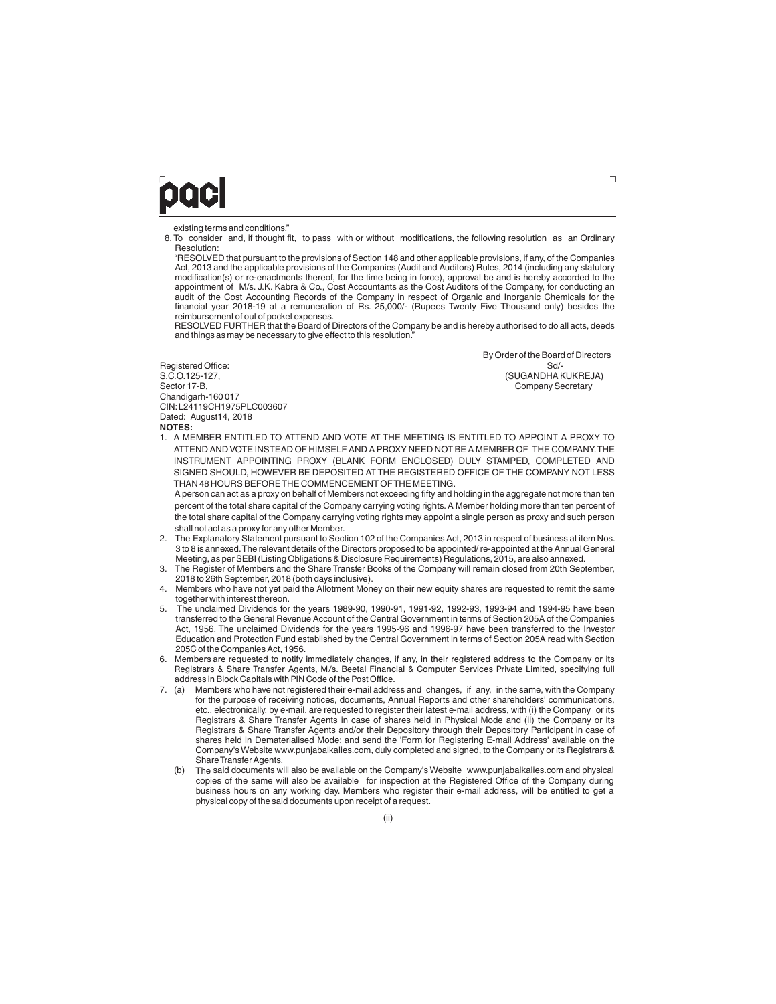## DOCI

existing terms and conditions."

8. To consider and, if thought fit, to pass with or without modifications, the following resolution as an Ordinary Resolution:

"RESOLVED that pursuant to the provisions of Section 148 and other applicable provisions, if any, of the Companies Act, 2013 and the applicable provisions of the Companies (Audit and Auditors) Rules, 2014 (including any statutory modification(s) or re-enactments thereof, for the time being in force), approval be and is hereby accorded to the appointment of M/s. J.K. Kabra & Co., Cost Accountants as the Cost Auditors of the Company, for conducting an audit of the Cost Accounting Records of the Company in respect of Organic and Inorganic Chemicals for the financial year 2018-19 at a remuneration of Rs. 25,000/- (Rupees Twenty Five Thousand only) besides the reimbursement of out of pocket expenses.

RESOLVED FURTHER that the Board of Directors of the Company be and is hereby authorised to do all acts, deeds and things as may be necessary to give effect to this resolution.

Registered Office:<br>S C O 125-127 Chandigarh-160 017 CIN:L24119CH1975PLC003607 Dated: August14, 2018 **NOTES:**

 By Order of the Board of Directors S.C.O.125-127, (SUGANDHA KUKREJA)<br>Sector 17-B, (SUGANDHA KUKREJA) (SUGANDHA KUKREJA) Company Secretary

1. A MEMBER ENTITLED TO ATTEND AND VOTE AT THE MEETING IS ENTITLED TO APPOINT A PROXY TO ATTEND AND VOTE INSTEAD OF HIMSELF AND A PROXY NEED NOT BE A MEMBER OF THE COMPANY.THE INSTRUMENT APPOINTING PROXY (BLANK FORM ENCLOSED) DULY STAMPED, COMPLETED AND SIGNED SHOULD, HOWEVER BE DEPOSITED AT THE REGISTERED OFFICE OF THE COMPANY NOT LESS THAN 48 HOURS BEFORE THE COMMENCEMENT OF THE MEETING.

A person can act as a proxy on behalf of Members not exceeding fifty and holding in the aggregate not more than ten percent of the total share capital of the Company carrying voting rights.A Member holding more than ten percent of the total share capital of the Company carrying voting rights may appoint a single person as proxy and such person shall not act as a proxy for any other Member.

- 2. The Explanatory Statement pursuant to Section 102 of the Companies Act, 2013 in respect of business at item Nos. 3 to 8 is annexed.The relevant details of the Directors proposed to be appointed/ re-appointed at the Annual General Meeting, as per SEBI (Listing Obligations & Disclosure Requirements) Regulations, 2015, are also annexed.
- 3. The Register of Members and the Share Transfer Books of the Company will remain closed from 20th September, 2018 to 26th September, 2018 (both days inclusive).
- 4. Members who have not yet paid the Allotment Money on their new equity shares are requested to remit the same together with interest thereon.
- 5. The unclaimed Dividends for the years 1989-90, 1990-91, 1991-92, 1992-93, 1993-94 and 1994-95 have been transferred to the General Revenue Account of the Central Government in terms of Section 205A of the Companies Act, 1956. The unclaimed Dividends for the years 1995-96 and 1996-97 have been transferred to the Investor Education and Protection Fund established by the Central Government in terms of Section 205A read with Section 205C of the Companies Act, 1956.
- 6. Members are requested to notify immediately changes, if any, in their registered address to the Company or its Registrars & Share Transfer Agents, M/s. Beetal Financial & Computer Services Private Limited, specifying full address in Block Capitals with PIN Code of the Post Office.
- 7. (a) Members who have not registered their e-mail address and changes, if any, in the same, with the Company for the purpose of receiving notices, documents, Annual Reports and other shareholders' communications, etc., electronically, by e-mail, are requested to register their latest e-mail address, with (i) the Company or its Registrars & Share Transfer Agents in case of shares held in Physical Mode and (ii) the Company or its Registrars & Share Transfer Agents and/or their Depository through their Depository Participant in case of shares held in Dematerialised Mode; and send the 'Form for Registering E-mail Address' available on the Company's Website www.punjabalkalies.com, duly completed and signed, to the Company or its Registrars & Share Transfer Agents.
	- (b) The said documents will also be available on the Company's Website www.punjabalkalies.com and physical copies of the same will also be available for inspection at the Registered Office of the Company during business hours on any working day. Members who register their e-mail address, will be entitled to get a physical copy of the said documents upon receipt of a request.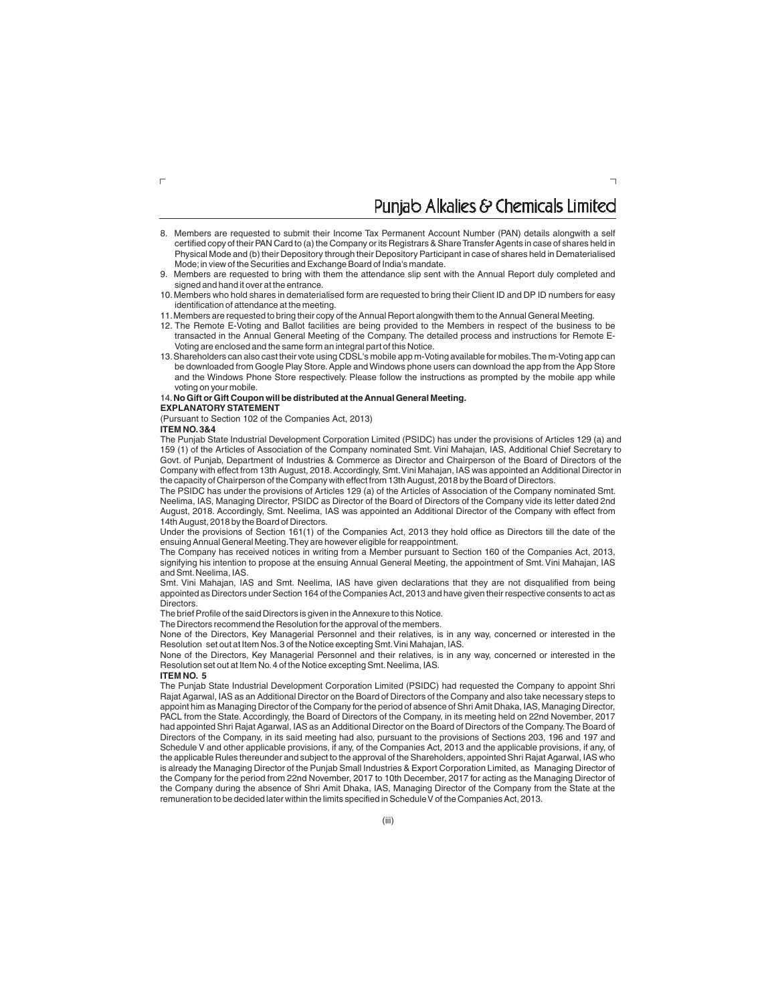## Puniab Alkalies & Chemicals Limited

- 8. Members are requested to submit their Income Tax Permanent Account Number (PAN) details alongwith a self certified copy of their PAN Card to (a) the Company or its Registrars & Share Transfer Agents in case of shares held in Physical Mode and (b) their Depository through their Depository Participant in case of shares held in Dematerialised Mode;in view of the Securities and Exchange Board of India's mandate.
- 9. Members are requested to bring with them the attendance slip sent with the Annual Report duly completed and signed and hand it over at the entrance.
- 10. Members who hold shares in dematerialised form are requested to bring their Client ID and DP ID numbers for easy identification of attendance at the meeting.
- 11.Members are requested to bring their copy of the Annual Report alongwith them to the Annual General Meeting.
- 12. The Remote E-Voting and Ballot facilities are being provided to the Members in respect of the business to be transacted in the Annual General Meeting of the Company. The detailed process and instructions for Remote E-Voting are enclosed and the same form an integral part of this Notice.
- 13.Shareholders can also cast their vote using CDSL's mobile app m-Voting available for mobiles.The m-Voting app can be downloaded from Google Play Store. Apple and Windows phone users can download the app from the App Store and the Windows Phone Store respectively. Please follow the instructions as prompted by the mobile app while voting on your mobile.

#### 14.**No Gift or Gift Coupon will be distributed at the Annual General Meeting.**

**EXPLANATORY STATEMENT**

(Pursuant to Section 102 of the Companies Act, 2013)

### **ITEM NO.3&4**

 $\Gamma$ 

The Punjab State Industrial Development Corporation Limited (PSIDC) has under the provisions of Articles 129 (a) and 159 (1) of the Articles of Association of the Company nominated Smt. Vini Mahajan, IAS, Additional Chief Secretary to Govt. of Punjab, Department of Industries & Commerce as Director and Chairperson of the Board of Directors of the Company with effect from 13th August, 2018.Accordingly, Smt.Vini Mahajan, IAS was appointed an Additional Director in the capacity of Chairperson of the Company with effect from 13th August, 2018 by the Board of Directors.

The PSIDC has under the provisions of Articles 129 (a) of the Articles of Association of the Company nominated Smt. Neelima, IAS, Managing Director, PSIDC as Director of the Board of Directors of the Company vide its letter dated 2nd August, 2018. Accordingly, Smt. Neelima, IAS was appointed an Additional Director of the Company with effect from 14th August, 2018 by the Board of Directors.

Under the provisions of Section 161(1) of the Companies Act, 2013 they hold office as Directors till the date of the ensuing Annual General Meeting.They are however eligible for reappointment.

The Company has received notices in writing from a Member pursuant to Section 160 of the Companies Act, 2013, signifying his intention to propose at the ensuing Annual General Meeting, the appointment of Smt.Vini Mahajan, IAS and Smt.Neelima, IAS.

Smt. Vini Mahajan, IAS and Smt. Neelima, IAS have given declarations that they are not disqualified from being appointed as Directors under Section 164 of the Companies Act, 2013 and have given their respective consents to act as Directors.

The brief Profile of the said Directors is given in the Annexure to this Notice.

The Directors recommend the Resolution for the approval of the members.

None of the Directors, Key Managerial Personnel and their relatives, is in any way, concerned or interested in the Resolution set out at Item Nos.3 of the Notice excepting Smt.Vini Mahajan, IAS.

None of the Directors, Key Managerial Personnel and their relatives, is in any way, concerned or interested in the Resolution set out at Item No. 4 of the Notice excepting Smt. Neelima, IAS.

#### **ITEM NO. 5**

The Punjab State Industrial Development Corporation Limited (PSIDC) had requested the Company to appoint Shri Rajat Agarwal, IAS as an Additional Director on the Board of Directors of the Company and also take necessary steps to appoint him as Managing Director of the Company for the period of absence of Shri Amit Dhaka, IAS, Managing Director, PACL from the State. Accordingly, the Board of Directors of the Company, in its meeting held on 22nd November, 2017 had appointed Shri Rajat Agarwal, IAS as an Additional Director on the Board of Directors of the Company.The Board of Directors of the Company, in its said meeting had also, pursuant to the provisions of Sections 203, 196 and 197 and Schedule V and other applicable provisions, if any, of the Companies Act, 2013 and the applicable provisions, if any, of the applicable Rules thereunder and subject to the approval of the Shareholders, appointed Shri Rajat Agarwal, IAS who is already the Managing Director of the Punjab Small Industries & Export Corporation Limited, as Managing Director of the Company for the period from 22nd November, 2017 to 10th December, 2017 for acting as the Managing Director of the Company during the absence of Shri Amit Dhaka, IAS, Managing Director of the Company from the State at the remuneration to be decided later within the limits specified in Schedule V of the Companies Act, 2013.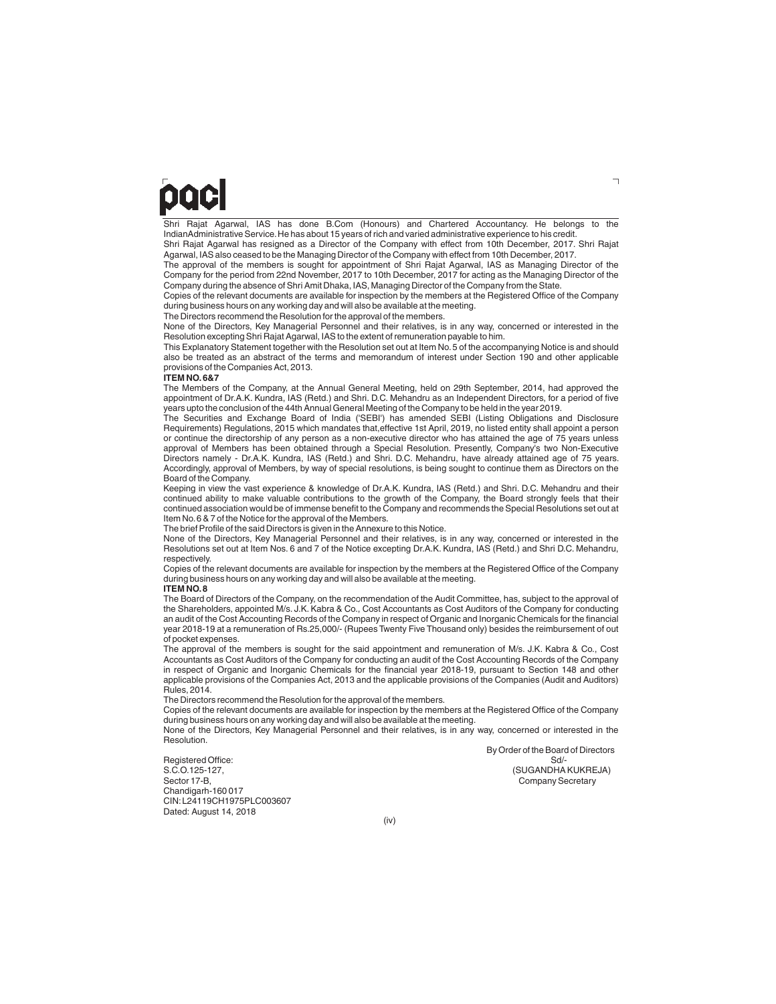# DOC

Shri Rajat Agarwal, IAS has done B.Com (Honours) and Chartered Accountancy. He belongs to the IndianAdministrative Service.He has about 15 years of rich and varied administrative experience to his credit.

Shri Rajat Agarwal has resigned as a Director of the Company with effect from 10th December, 2017. Shri Rajat Agarwal, IAS also ceased to be the Managing Director of the Company with effect from 10th December, 2017.

The approval of the members is sought for appointment of Shri Rajat Agarwal, IAS as Managing Director of the Company for the period from 22nd November, 2017 to 10th December, 2017 for acting as the Managing Director of the Company during the absence of Shri Amit Dhaka, IAS, Managing Director of the Company from the State.

Copies of the relevant documents are available for inspection by the members at the Registered Office of the Company during business hours on any working day and will also be available at the meeting.

The Directors recommend the Resolution for the approval of the members.

None of the Directors, Key Managerial Personnel and their relatives, is in any way, concerned or interested in the Resolution excepting Shri Rajat Agarwal, IAS to the extent of remuneration payable to him.

This Explanatory Statement together with the Resolution set out at Item No.5 of the accompanying Notice is and should also be treated as an abstract of the terms and memorandum of interest under Section 190 and other applicable provisions of the Companies Act, 2013.

#### **ITEM NO.6&7**

The Members of the Company, at the Annual General Meeting, held on 29th September, 2014, had approved the appointment of Dr.A.K. Kundra, IAS (Retd.) and Shri. D.C. Mehandru as an Independent Directors, for a period of five years upto the conclusion of the 44th Annual General Meeting of the Company to be held in the year 2019.

The Securities and Exchange Board of India ('SEBI') has amended SEBI (Listing Obligations and Disclosure Requirements) Regulations, 2015 which mandates that,effective 1st April, 2019, no listed entity shall appoint a person or continue the directorship of any person as a non-executive director who has attained the age of 75 years unless approval of Members has been obtained through a Special Resolution. Presently, Company's two Non-Executive Directors namely - Dr.A.K. Kundra, IAS (Retd.) and Shri. D.C. Mehandru, have already attained age of 75 years. Accordingly, approval of Members, by way of special resolutions, is being sought to continue them as Directors on the Board of the Company.

Keeping in view the vast experience & knowledge of Dr.A.K. Kundra, IAS (Retd.) and Shri. D.C. Mehandru and their continued ability to make valuable contributions to the growth of the Company, the Board strongly feels that their continued association would be of immense benefit to the Company and recommends the Special Resolutions set out at Item No.6 & 7 of the Notice for the approval of the Members.

The brief Profile of the said Directors is given in the Annexure to this Notice.

None of the Directors, Key Managerial Personnel and their relatives, is in any way, concerned or interested in the Resolutions set out at Item Nos. 6 and 7 of the Notice excepting Dr.A.K. Kundra, IAS (Retd.) and Shri D.C. Mehandru, respectively.

Copies of the relevant documents are available for inspection by the members at the Registered Office of the Company during business hours on any working day and will also be available at the meeting.

#### **ITEM NO.8**

The Board of Directors of the Company, on the recommendation of the Audit Committee, has, subject to the approval of<br>the Shareholders, appointed M/s. J.K. Kabra & Co., Cost Accountants as Cost Auditors of the Company for c an audit of the Cost Accounting Records of the Company in respect of Organic and Inorganic Chemicals for the financial year 2018-19 at a remuneration of Rs.25,000/- (Rupees Twenty Five Thousand only) besides the reimbursement of out of pocket expenses.

The approval of the members is sought for the said appointment and remuneration of M/s. J.K. Kabra & Co., Cost Accountants as Cost Auditors of the Company for conducting an audit of the Cost Accounting Records of the Company in respect of Organic and Inorganic Chemicals for the financial year 2018-19, pursuant to Section 148 and other applicable provisions of the Companies Act, 2013 and the applicable provisions of the Companies (Audit and Auditors) Rules, 2014.

The Directors recommend the Resolution for the approval of the members.

Copies of the relevant documents are available for inspection by the members at the Registered Office of the Company during business hours on any working day and will also be available at the meeting.

None of the Directors, Key Managerial Personnel and their relatives, is in any way, concerned or interested in the Resolution.

By Order of the Board of Directors<br>Sd/-Company Secretary

Registered Office:<br>S.C.O.125-127, S.C.O.125-127, (SUGANDHA KUKREJA) Chandigarh-160 017 CIN:L24119CH1975PLC003607 Dated: August 14, 2018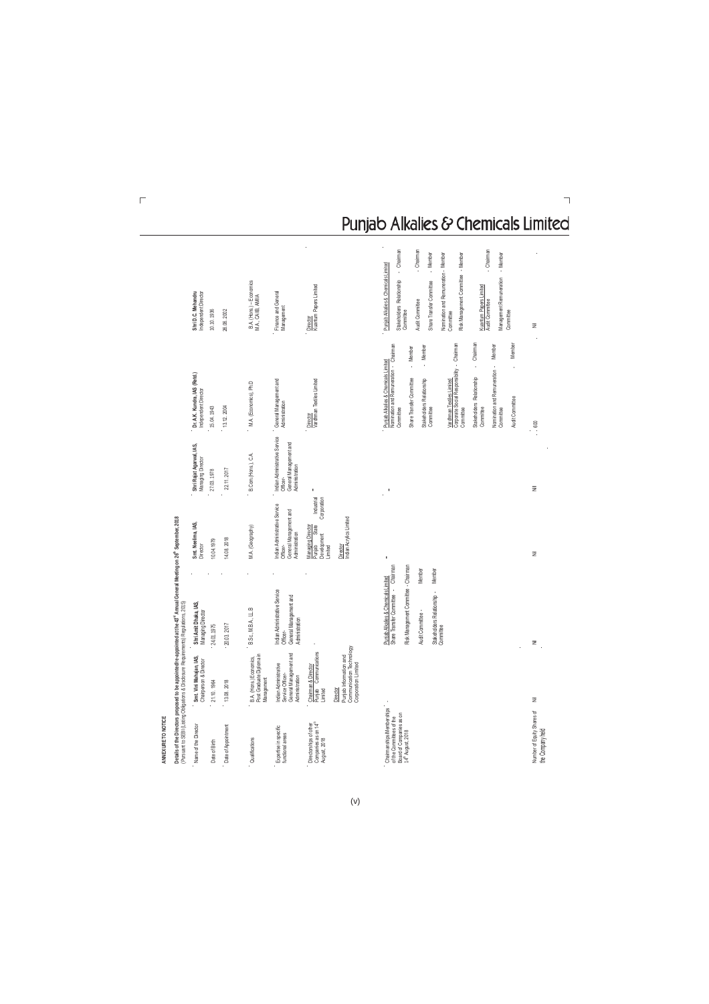| ANNEXURE TO NOTICE                                                                                                  |                                                                                       |                                                                                                                                                                                                         |                                                                                             |                                                                                       |                                                                                                                                                                                                                                                                                                                                                                                                                                         |                                                                                                                                                                                                                                                                                                                                                                            |
|---------------------------------------------------------------------------------------------------------------------|---------------------------------------------------------------------------------------|---------------------------------------------------------------------------------------------------------------------------------------------------------------------------------------------------------|---------------------------------------------------------------------------------------------|---------------------------------------------------------------------------------------|-----------------------------------------------------------------------------------------------------------------------------------------------------------------------------------------------------------------------------------------------------------------------------------------------------------------------------------------------------------------------------------------------------------------------------------------|----------------------------------------------------------------------------------------------------------------------------------------------------------------------------------------------------------------------------------------------------------------------------------------------------------------------------------------------------------------------------|
| (Pursuant to SEBI (Listing Obligations & Disclosure Requirements) Regulations, 2015)                                |                                                                                       | Details of the Directors proposed to be appointed/re-appointed at the 43 <sup>d</sup> Annual General Meeting on 26 <sup>th</sup> September, 2018                                                        |                                                                                             |                                                                                       |                                                                                                                                                                                                                                                                                                                                                                                                                                         |                                                                                                                                                                                                                                                                                                                                                                            |
| Name of the Director                                                                                                | Smt. Vini Mahajan, IAS,<br>Chairperson & Director                                     | Shri Amit Dhaka, IAS,<br>Managing Director                                                                                                                                                              | Smt. Neelima, IAS,<br>Director                                                              | Shri Rajat Agarwal, IAS,<br>Managing Director                                         | Dr. A.K. Kundra, IAS (Retd.)<br>Independent Director                                                                                                                                                                                                                                                                                                                                                                                    | Shri D.C. Mehandru<br>Independent Director                                                                                                                                                                                                                                                                                                                                 |
| Date of Birth                                                                                                       | 21.10.1964                                                                            | 24.01.1975                                                                                                                                                                                              | 10.04.1979                                                                                  | 27.03.1978                                                                            | 15.04.1943                                                                                                                                                                                                                                                                                                                                                                                                                              | 0.10.1936                                                                                                                                                                                                                                                                                                                                                                  |
| Date of Appointment                                                                                                 | 13.08. 2018                                                                           | 20.03.2017                                                                                                                                                                                              | 14.08.2018                                                                                  | 22.11, 2017                                                                           | 13.12.2004                                                                                                                                                                                                                                                                                                                                                                                                                              | 26.06.2002                                                                                                                                                                                                                                                                                                                                                                 |
| Qualifications                                                                                                      | Post Graduate Diploma in<br>B.A. (Hons.) Economics,<br>Management                     | B.Sc., M.B.A., LL.B                                                                                                                                                                                     | M.A. (Geography)                                                                            | B.Com.(Hons.), C.A.                                                                   | M.A. (Economics), Ph.D                                                                                                                                                                                                                                                                                                                                                                                                                  | B.A. (Hons.) – Economics<br>M.A., CAIB, AMIIA                                                                                                                                                                                                                                                                                                                              |
| Expertise in specific<br>functional areas                                                                           | General Management and<br>Indian Administrative<br>Service Officer-<br>Administration | Indian Administrative Service<br>General Management and<br>Administration<br>Officer-                                                                                                                   | ndian Administrative Service<br>General Management and<br>Administration<br>Officer-        | Indian Administrative Service<br>General Management and<br>Administration<br>Officer- | General Management and<br>Administration                                                                                                                                                                                                                                                                                                                                                                                                | Finance and General<br>Management                                                                                                                                                                                                                                                                                                                                          |
| Companies as on 14 <sup>th</sup><br>August, 2018<br>Directorships of other                                          | Punjab Communications<br>Chairman & Director<br>Director<br>Limited                   |                                                                                                                                                                                                         | Industrial<br>Corporation<br>State<br>Managing Director<br>Development<br>Punjab<br>Limited |                                                                                       | Vardhman Textiles Limited<br>Director                                                                                                                                                                                                                                                                                                                                                                                                   | Kuantum Papers Limited<br>Director                                                                                                                                                                                                                                                                                                                                         |
|                                                                                                                     | Communication Technology<br>Corporation Limited<br>Punjab Information and             |                                                                                                                                                                                                         | Indian Acrylics Limited<br>Director                                                         |                                                                                       |                                                                                                                                                                                                                                                                                                                                                                                                                                         |                                                                                                                                                                                                                                                                                                                                                                            |
| Chairmanships/Member ships<br>Board of Companies as on<br>14 <sup>th</sup> August, 2018<br>of the Committees of the |                                                                                       | Punjab Alkalies & Chemicals Limited<br>Share Transfer Committee - Chairman<br>Risk Management Committee - Chairman<br>Member<br>Member<br>Stakeholders Relationship -<br>Committee<br>Audit Committee - |                                                                                             |                                                                                       | Corporate Social Responsibility - Chairman<br>Member<br>Nomination and Remuneration - Chairman<br>Chairman<br>Member<br>- Member<br>- Member<br>Puniab Alkalies & Chemicals Limited<br>ł,<br>Nomination and Remuneration -<br>l,<br>Stakeholders Relationship<br>Share Transfer Committee<br>Stakeholders Relationship<br>Vardhman Textiles Limited<br>Audit Committee<br>Committee<br>Committee<br>Committee<br>Committee<br>Committee | - Chairman<br>Chairman<br>Chairman<br>- Member<br>Nomination and Remuneration - Member<br>- Member<br>Risk Management Committee - Member<br>Punjab Alkalies & Chemicals Limited<br>Management Remuneration<br>Stakeholders Relationship<br>Share Transfer Committee<br>Kuantum Papers Limited<br>Audit Committee<br>Audit Committee<br>Committee<br>Committee<br>Committee |
| Number of Equity Shares of<br>the Company held                                                                      | Ξ                                                                                     | ž                                                                                                                                                                                                       | Ξ                                                                                           | ż                                                                                     | $\cdots\,600$                                                                                                                                                                                                                                                                                                                                                                                                                           | Ξ                                                                                                                                                                                                                                                                                                                                                                          |

## Punjab Alkalies & Chemicals Limited

 $(v)$ 

 $\overline{\Gamma}$ 

 $\lnot$